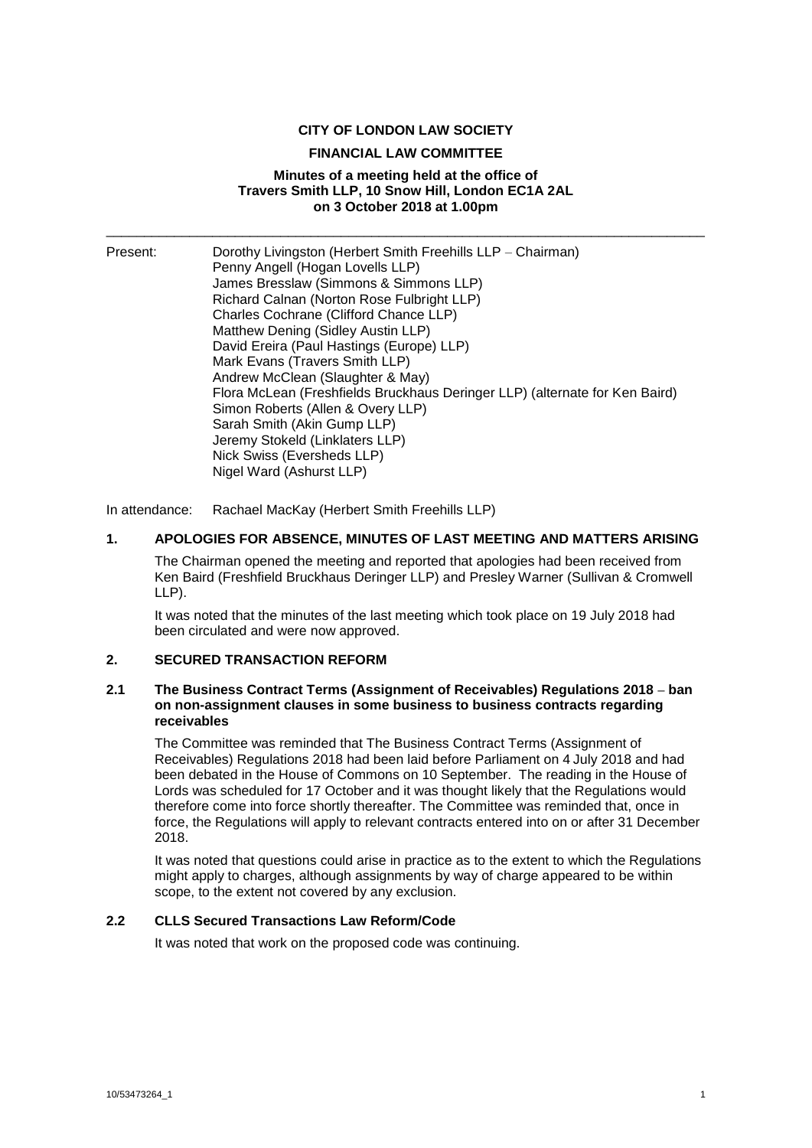### **CITY OF LONDON LAW SOCIETY**

## **FINANCIAL LAW COMMITTEE**

### **Minutes of a meeting held at the office of Travers Smith LLP, 10 Snow Hill, London EC1A 2AL on 3 October 2018 at 1.00pm**

\_\_\_\_\_\_\_\_\_\_\_\_\_\_\_\_\_\_\_\_\_\_\_\_\_\_\_\_\_\_\_\_\_\_\_\_\_\_\_\_\_\_\_\_\_\_\_\_\_\_\_\_\_\_\_\_\_\_\_\_\_\_\_\_\_\_\_\_\_\_\_\_\_\_\_\_\_\_\_

| Present: | Dorothy Livingston (Herbert Smith Freehills LLP – Chairman)                 |
|----------|-----------------------------------------------------------------------------|
|          | Penny Angell (Hogan Lovells LLP)                                            |
|          | James Bresslaw (Simmons & Simmons LLP)                                      |
|          | Richard Calnan (Norton Rose Fulbright LLP)                                  |
|          | Charles Cochrane (Clifford Chance LLP)                                      |
|          | Matthew Dening (Sidley Austin LLP)                                          |
|          | David Ereira (Paul Hastings (Europe) LLP)                                   |
|          | Mark Evans (Travers Smith LLP)                                              |
|          | Andrew McClean (Slaughter & May)                                            |
|          | Flora McLean (Freshfields Bruckhaus Deringer LLP) (alternate for Ken Baird) |
|          | Simon Roberts (Allen & Overy LLP)                                           |
|          | Sarah Smith (Akin Gump LLP)                                                 |
|          | Jeremy Stokeld (Linklaters LLP)                                             |
|          | Nick Swiss (Eversheds LLP)                                                  |
|          | Nigel Ward (Ashurst LLP)                                                    |

In attendance: Rachael MacKay (Herbert Smith Freehills LLP)

### **1. APOLOGIES FOR ABSENCE, MINUTES OF LAST MEETING AND MATTERS ARISING**

The Chairman opened the meeting and reported that apologies had been received from Ken Baird (Freshfield Bruckhaus Deringer LLP) and Presley Warner (Sullivan & Cromwell LLP).

It was noted that the minutes of the last meeting which took place on 19 July 2018 had been circulated and were now approved.

#### **2. SECURED TRANSACTION REFORM**

### **2.1 The Business Contract Terms (Assignment of Receivables) Regulations 2018 – ban on non-assignment clauses in some business to business contracts regarding receivables**

The Committee was reminded that The Business Contract Terms (Assignment of Receivables) Regulations 2018 had been laid before Parliament on 4 July 2018 and had been debated in the House of Commons on 10 September. The reading in the House of Lords was scheduled for 17 October and it was thought likely that the Regulations would therefore come into force shortly thereafter. The Committee was reminded that, once in force, the Regulations will apply to relevant contracts entered into on or after 31 December 2018.

It was noted that questions could arise in practice as to the extent to which the Regulations might apply to charges, although assignments by way of charge appeared to be within scope, to the extent not covered by any exclusion.

# **2.2 CLLS Secured Transactions Law Reform/Code**

It was noted that work on the proposed code was continuing.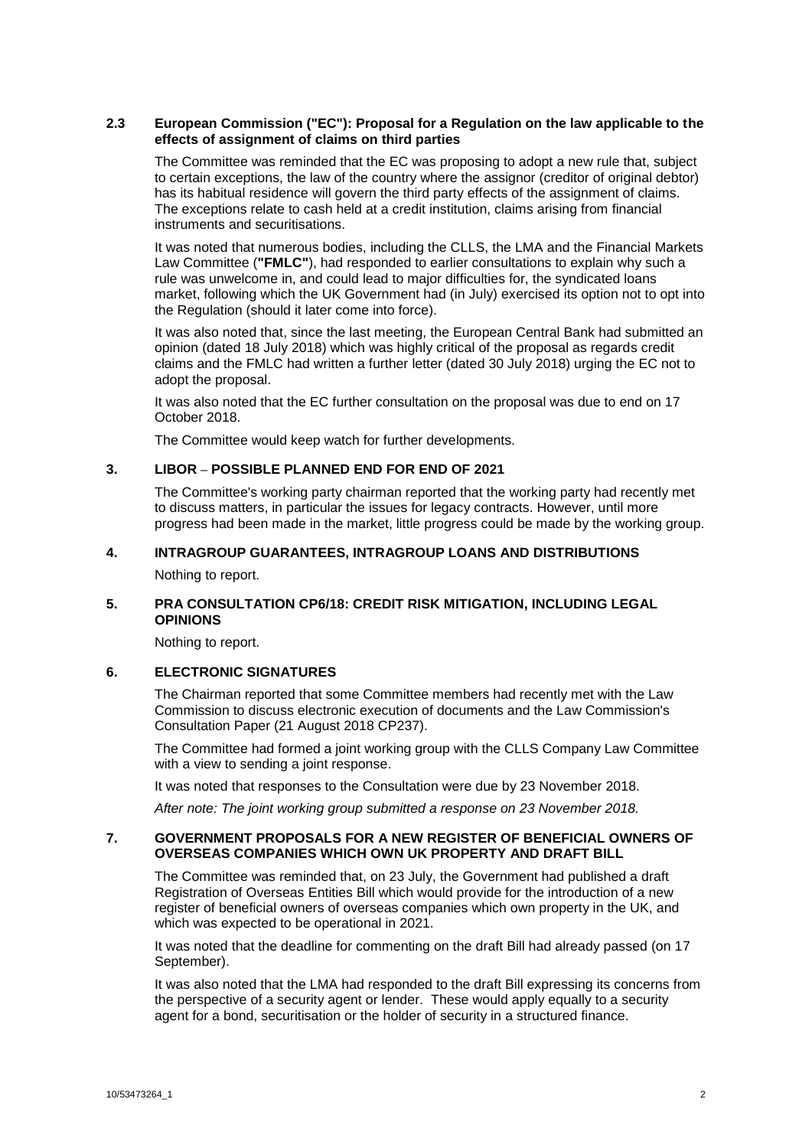#### **2.3 European Commission ("EC"): Proposal for a Regulation on the law applicable to the effects of assignment of claims on third parties**

The Committee was reminded that the EC was proposing to adopt a new rule that, subject to certain exceptions, the law of the country where the assignor (creditor of original debtor) has its habitual residence will govern the third party effects of the assignment of claims. The exceptions relate to cash held at a credit institution, claims arising from financial instruments and securitisations.

It was noted that numerous bodies, including the CLLS, the LMA and the Financial Markets Law Committee (**"FMLC"**), had responded to earlier consultations to explain why such a rule was unwelcome in, and could lead to major difficulties for, the syndicated loans market, following which the UK Government had (in July) exercised its option not to opt into the Regulation (should it later come into force).

It was also noted that, since the last meeting, the European Central Bank had submitted an opinion (dated 18 July 2018) which was highly critical of the proposal as regards credit claims and the FMLC had written a further letter (dated 30 July 2018) urging the EC not to adopt the proposal.

It was also noted that the EC further consultation on the proposal was due to end on 17 October 2018.

The Committee would keep watch for further developments.

### **3. LIBOR – POSSIBLE PLANNED END FOR END OF 2021**

The Committee's working party chairman reported that the working party had recently met to discuss matters, in particular the issues for legacy contracts. However, until more progress had been made in the market, little progress could be made by the working group.

### **4. INTRAGROUP GUARANTEES, INTRAGROUP LOANS AND DISTRIBUTIONS**

Nothing to report.

## **5. PRA CONSULTATION CP6/18: CREDIT RISK MITIGATION, INCLUDING LEGAL OPINIONS**

Nothing to report.

## **6. ELECTRONIC SIGNATURES**

The Chairman reported that some Committee members had recently met with the Law Commission to discuss electronic execution of documents and the Law Commission's Consultation Paper (21 August 2018 CP237).

The Committee had formed a joint working group with the CLLS Company Law Committee with a view to sending a joint response.

It was noted that responses to the Consultation were due by 23 November 2018.

*After note: The joint working group submitted a response on 23 November 2018.*

#### **7. GOVERNMENT PROPOSALS FOR A NEW REGISTER OF BENEFICIAL OWNERS OF OVERSEAS COMPANIES WHICH OWN UK PROPERTY AND DRAFT BILL**

The Committee was reminded that, on 23 July, the Government had published a draft Registration of Overseas Entities Bill which would provide for the introduction of a new register of beneficial owners of overseas companies which own property in the UK, and which was expected to be operational in 2021.

It was noted that the deadline for commenting on the draft Bill had already passed (on 17 September).

It was also noted that the LMA had responded to the draft Bill expressing its concerns from the perspective of a security agent or lender. These would apply equally to a security agent for a bond, securitisation or the holder of security in a structured finance.